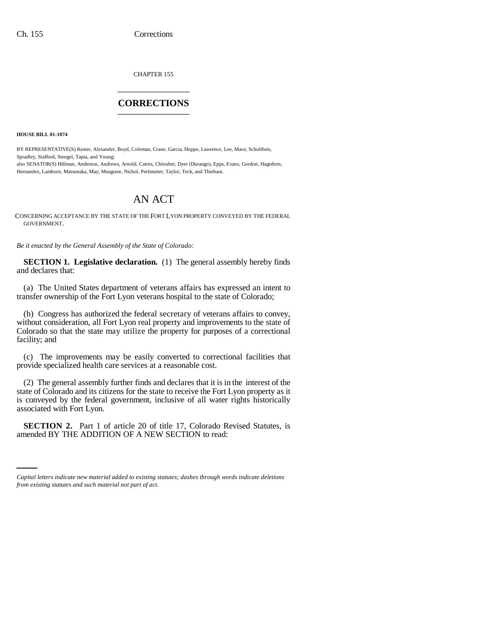CHAPTER 155 \_\_\_\_\_\_\_\_\_\_\_\_\_\_\_

## **CORRECTIONS** \_\_\_\_\_\_\_\_\_\_\_\_\_\_\_

**HOUSE BILL 01-1074**

BY REPRESENTATIVE(S) Kester, Alexander, Boyd, Coleman, Crane, Garcia, Hoppe, Lawrence, Lee, Mace, Schultheis, Spradley, Stafford, Stengel, Tapia, and Young; also SENATOR(S) Hillman, Anderson, Andrews, Arnold, Cairns, Chlouber, Dyer (Durango), Epps, Evans, Gordon, Hagedorn, Hernandez, Lamborn, Matsunaka, May, Musgrave, Nichol, Perlmutter, Taylor, Teck, and Thiebaut.

## AN ACT

CONCERNING ACCEPTANCE BY THE STATE OF THE FORT LYON PROPERTY CONVEYED BY THE FEDERAL GOVERNMENT.

*Be it enacted by the General Assembly of the State of Colorado:*

**SECTION 1. Legislative declaration.** (1) The general assembly hereby finds and declares that:

(a) The United States department of veterans affairs has expressed an intent to transfer ownership of the Fort Lyon veterans hospital to the state of Colorado;

(b) Congress has authorized the federal secretary of veterans affairs to convey, without consideration, all Fort Lyon real property and improvements to the state of Colorado so that the state may utilize the property for purposes of a correctional facility; and

(c) The improvements may be easily converted to correctional facilities that provide specialized health care services at a reasonable cost.

(2) The general assembly further finds and declares that it is in the interest of the state of Colorado and its citizens for the state to receive the Fort Lyon property as it is conveyed by the federal government, inclusive of all water rights historically associated with Fort Lyon.

**SECTION 2.** Part 1 of article 20 of title 17, Colorado Revised Statutes, is amended BY THE ADDITION OF A NEW SECTION to read:

*Capital letters indicate new material added to existing statutes; dashes through words indicate deletions from existing statutes and such material not part of act.*